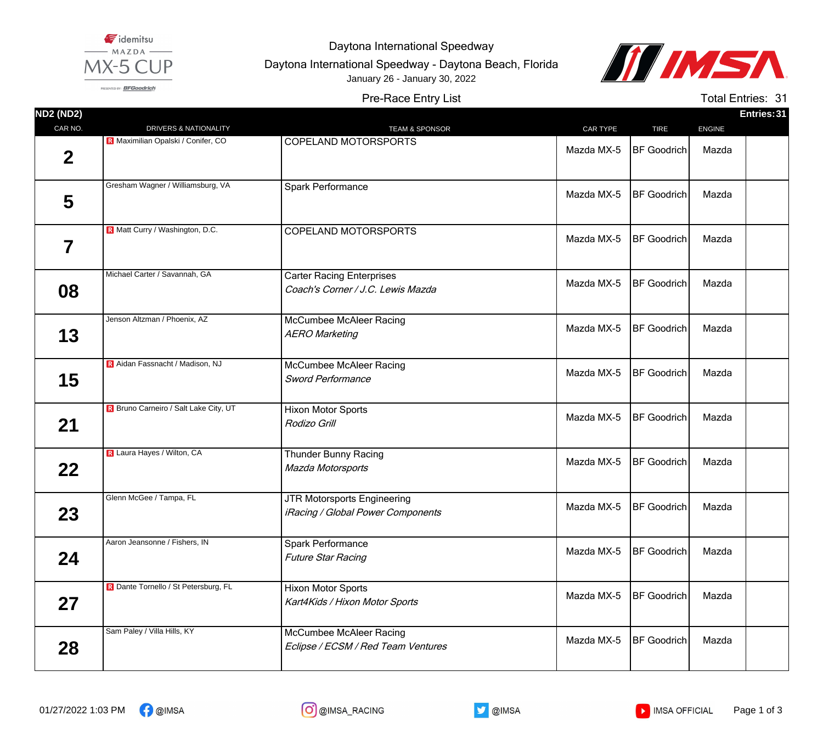

Daytona International Speedway

Daytona International Speedway - Daytona Beach, Florida January 26 - January 30, 2022



PRESENTED BY: BFGoodrich

Pre-Race Entry List

Total Entries: 31

| <b>ND2 (ND2)</b> |                                       |                                                                       |            |                    |               | Entries: 31 |
|------------------|---------------------------------------|-----------------------------------------------------------------------|------------|--------------------|---------------|-------------|
| CAR NO.          | DRIVERS & NATIONALITY                 | <b>TEAM &amp; SPONSOR</b>                                             | CAR TYPE   | <b>TIRE</b>        | <b>ENGINE</b> |             |
| $\mathbf 2$      | R Maximilian Opalski / Conifer, CO    | COPELAND MOTORSPORTS                                                  | Mazda MX-5 | <b>BF Goodrich</b> | Mazda         |             |
| 5                | Gresham Wagner / Williamsburg, VA     | Spark Performance                                                     | Mazda MX-5 | <b>BF</b> Goodrich | Mazda         |             |
| 7                | R Matt Curry / Washington, D.C.       | COPELAND MOTORSPORTS                                                  | Mazda MX-5 | <b>BF Goodrich</b> | Mazda         |             |
| 08               | Michael Carter / Savannah, GA         | <b>Carter Racing Enterprises</b><br>Coach's Corner / J.C. Lewis Mazda | Mazda MX-5 | <b>BF</b> Goodrich | Mazda         |             |
| 13               | Jenson Altzman / Phoenix, AZ          | McCumbee McAleer Racing<br><b>AERO Marketing</b>                      | Mazda MX-5 | <b>BF Goodrich</b> | Mazda         |             |
| 15               | R Aidan Fassnacht / Madison, NJ       | McCumbee McAleer Racing<br><b>Sword Performance</b>                   | Mazda MX-5 | <b>BF Goodrich</b> | Mazda         |             |
| 21               | R Bruno Carneiro / Salt Lake City, UT | <b>Hixon Motor Sports</b><br>Rodizo Grill                             | Mazda MX-5 | <b>BF</b> Goodrich | Mazda         |             |
| $22 \,$          | R Laura Hayes / Wilton, CA            | <b>Thunder Bunny Racing</b><br>Mazda Motorsports                      | Mazda MX-5 | <b>BF Goodrich</b> | Mazda         |             |
| 23               | Glenn McGee / Tampa, FL               | JTR Motorsports Engineering<br>iRacing / Global Power Components      | Mazda MX-5 | <b>BF</b> Goodrich | Mazda         |             |
| 24               | Aaron Jeansonne / Fishers, IN         | Spark Performance<br><b>Future Star Racing</b>                        | Mazda MX-5 | <b>BF Goodrich</b> | Mazda         |             |
| 27               | R Dante Tornello / St Petersburg, FL  | <b>Hixon Motor Sports</b><br>Kart4Kids / Hixon Motor Sports           | Mazda MX-5 | <b>BF Goodrich</b> | Mazda         |             |
| 28               | Sam Paley / Villa Hills, KY           | McCumbee McAleer Racing<br>Eclipse / ECSM / Red Team Ventures         | Mazda MX-5 | <b>BF</b> Goodrich | Mazda         |             |





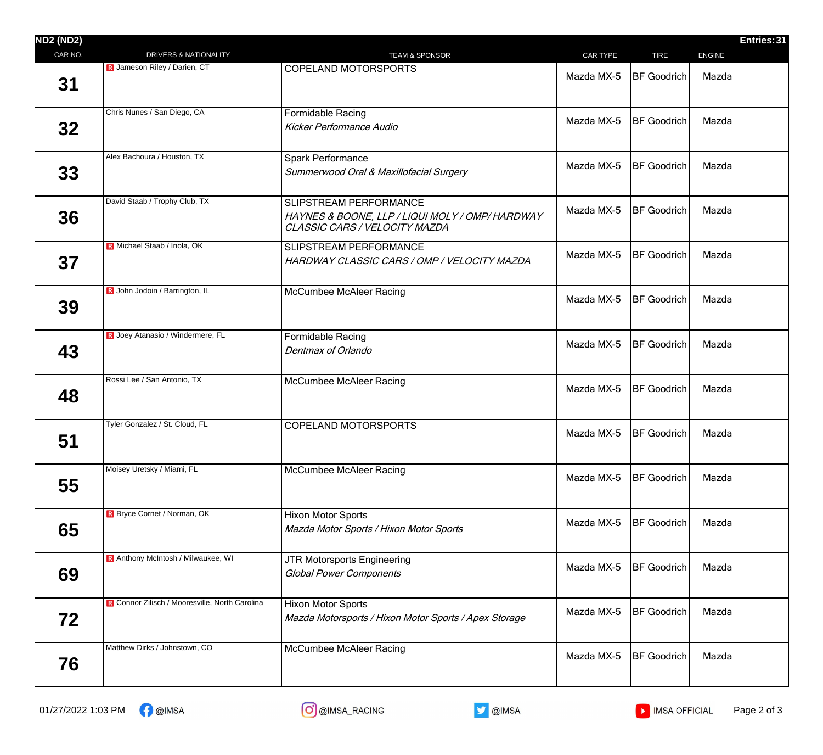| <b>ND2 (ND2)</b> |                                                |                                                                                                           |            |                     |               | Entries: 31 |
|------------------|------------------------------------------------|-----------------------------------------------------------------------------------------------------------|------------|---------------------|---------------|-------------|
| CAR NO.          | DRIVERS & NATIONALITY                          | <b>TEAM &amp; SPONSOR</b>                                                                                 | CAR TYPE   | <b>TIRE</b>         | <b>ENGINE</b> |             |
| 31               | R Jameson Riley / Darien, CT                   | <b>COPELAND MOTORSPORTS</b>                                                                               | Mazda MX-5 | <b>BF</b> Goodrich  | Mazda         |             |
| 32 <sub>2</sub>  | Chris Nunes / San Diego, CA                    | Formidable Racing<br><b>Kicker Performance Audio</b>                                                      | Mazda MX-5 | <b>BF Goodrich</b>  | Mazda         |             |
| 33               | Alex Bachoura / Houston, TX                    | Spark Performance<br>Summerwood Oral & Maxillofacial Surgery                                              | Mazda MX-5 | <b>BF Goodrich</b>  | Mazda         |             |
| 36               | David Staab / Trophy Club, TX                  | SLIPSTREAM PERFORMANCE<br>HAYNES & BOONE, LLP / LIQUI MOLY / OMP/HARDWAY<br>CLASSIC CARS / VELOCITY MAZDA | Mazda MX-5 | <b>BF Goodrich</b>  | Mazda         |             |
| 37               | R Michael Staab / Inola, OK                    | SLIPSTREAM PERFORMANCE<br>HARDWAY CLASSIC CARS / OMP / VELOCITY MAZDA                                     | Mazda MX-5 | <b>IBF Goodrich</b> | Mazda         |             |
| 39               | R John Jodoin / Barrington, IL                 | <b>McCumbee McAleer Racing</b>                                                                            | Mazda MX-5 | BF Goodrich         | Mazda         |             |
| 43               | R Joey Atanasio / Windermere, FL               | <b>Formidable Racing</b><br>Dentmax of Orlando                                                            | Mazda MX-5 | <b>BF</b> Goodrich  | Mazda         |             |
| 48               | Rossi Lee / San Antonio, TX                    | <b>McCumbee McAleer Racing</b>                                                                            | Mazda MX-5 | <b>BF</b> Goodrich  | Mazda         |             |
| 51               | Tyler Gonzalez / St. Cloud, FL                 | <b>COPELAND MOTORSPORTS</b>                                                                               | Mazda MX-5 | <b>BF</b> Goodrich  | Mazda         |             |
| 55               | Moisey Uretsky / Miami, FL                     | <b>McCumbee McAleer Racing</b>                                                                            | Mazda MX-5 | <b>BF</b> Goodrich  | Mazda         |             |
| 65               | <b>R</b> Bryce Cornet / Norman, OK             | <b>Hixon Motor Sports</b><br>Mazda Motor Sports / Hixon Motor Sports                                      | Mazda MX-5 | <b>BF Goodrich</b>  | Mazda         |             |
| 69               | R Anthony McIntosh / Milwaukee, WI             | <b>JTR Motorsports Engineering</b><br><b>Global Power Components</b>                                      | Mazda MX-5 | <b>BF</b> Goodrich  | Mazda         |             |
| 72               | R Connor Zilisch / Mooresville, North Carolina | <b>Hixon Motor Sports</b><br>Mazda Motorsports / Hixon Motor Sports / Apex Storage                        | Mazda MX-5 | <b>BF Goodrich</b>  | Mazda         |             |
| 76               | Matthew Dirks / Johnstown, CO                  | <b>McCumbee McAleer Racing</b>                                                                            | Mazda MX-5 | <b>BF</b> Goodrich  | Mazda         |             |